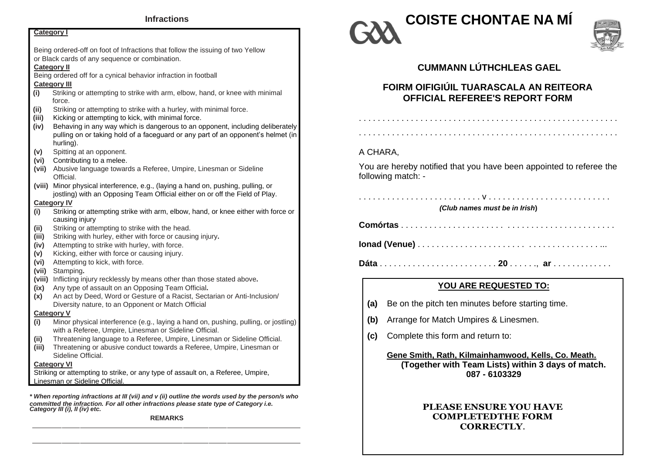| <b>Category I</b>                                                                                                                                                         |  |  |  |  |  |
|---------------------------------------------------------------------------------------------------------------------------------------------------------------------------|--|--|--|--|--|
|                                                                                                                                                                           |  |  |  |  |  |
| Being ordered-off on foot of Infractions that follow the issuing of two Yellow                                                                                            |  |  |  |  |  |
| or Black cards of any sequence or combination.                                                                                                                            |  |  |  |  |  |
| <b>Category II</b>                                                                                                                                                        |  |  |  |  |  |
| Being ordered off for a cynical behavior infraction in football                                                                                                           |  |  |  |  |  |
| <b>Category III</b>                                                                                                                                                       |  |  |  |  |  |
| (i)<br>Striking or attempting to strike with arm, elbow, hand, or knee with minimal<br>force.                                                                             |  |  |  |  |  |
| (ii)<br>Striking or attempting to strike with a hurley, with minimal force.                                                                                               |  |  |  |  |  |
| Kicking or attempting to kick, with minimal force.<br>(iii)                                                                                                               |  |  |  |  |  |
| Behaving in any way which is dangerous to an opponent, including deliberately<br>(iv)<br>pulling on or taking hold of a faceguard or any part of an opponent's helmet (in |  |  |  |  |  |
| hurling).                                                                                                                                                                 |  |  |  |  |  |
| Spitting at an opponent.<br>(v)                                                                                                                                           |  |  |  |  |  |
| Contributing to a melee.<br>(vi)                                                                                                                                          |  |  |  |  |  |
| Abusive language towards a Referee, Umpire, Linesman or Sideline<br>(vii)<br>Official.                                                                                    |  |  |  |  |  |
| (viii) Minor physical interference, e.g., (laying a hand on, pushing, pulling, or<br>jostling) with an Opposing Team Official either on or off the Field of Play.         |  |  |  |  |  |
| <b>Category IV</b>                                                                                                                                                        |  |  |  |  |  |
| (i)<br>Striking or attempting strike with arm, elbow, hand, or knee either with force or<br>causing injury                                                                |  |  |  |  |  |
| Striking or attempting to strike with the head.<br>(ii)                                                                                                                   |  |  |  |  |  |
| Striking with hurley, either with force or causing injury.<br>(iii)                                                                                                       |  |  |  |  |  |
| Attempting to strike with hurley, with force.<br>(iv)                                                                                                                     |  |  |  |  |  |
| Kicking, either with force or causing injury.<br>(v)                                                                                                                      |  |  |  |  |  |
| Attempting to kick, with force.<br>(vi)                                                                                                                                   |  |  |  |  |  |
| (vii)<br>Stamping.                                                                                                                                                        |  |  |  |  |  |
| (viii)<br>Inflicting injury recklessly by means other than those stated above.                                                                                            |  |  |  |  |  |
| Any type of assault on an Opposing Team Official.<br>(ix)                                                                                                                 |  |  |  |  |  |
| An act by Deed, Word or Gesture of a Racist, Sectarian or Anti-Inclusion/<br>(x)                                                                                          |  |  |  |  |  |
| Diversity nature, to an Opponent or Match Official                                                                                                                        |  |  |  |  |  |
| <b>Category V</b>                                                                                                                                                         |  |  |  |  |  |
| Minor physical interference (e.g., laying a hand on, pushing, pulling, or jostling)<br>(i)                                                                                |  |  |  |  |  |
| with a Referee, Umpire, Linesman or Sideline Official.                                                                                                                    |  |  |  |  |  |
| Threatening language to a Referee, Umpire, Linesman or Sideline Official.<br>(ii)                                                                                         |  |  |  |  |  |
| (iii)<br>Threatening or abusive conduct towards a Referee, Umpire, Linesman or<br>Sideline Official.                                                                      |  |  |  |  |  |
| <b>Category VI</b>                                                                                                                                                        |  |  |  |  |  |
| Striking or attempting to strike, or any type of assault on, a Referee, Umpire,                                                                                           |  |  |  |  |  |
| Linesman or Sideline Official.                                                                                                                                            |  |  |  |  |  |

*\* When reporting infractions at III (vii) and v (ii) outline the words used by the person/s who committed the infraction. For all other infractions please state type of Category i.e. Category III (i), II (iv) etc.*

**REMARKS**





## **CUMMANN LÚTHCHLEAS GAEL**

# **FOIRM OIFIGIÚIL TUARASCALA AN REITEORA OFFICIAL REFEREE'S REPORT FORM**

. . . . . . . . . . . . . . . . . . . . . . . . . . . . . . . . . . . . . . . . . . . . . . . . . . . . . . .

### A CHARA,

You are hereby notified that you have been appointed to referee the following match: -

. . . . . . . . . . . . . . . . . . . . . . . . . . v . . . . . . . . . . . . . . . . . . . . . . . . . . *(Club names must be in Irish***)**

**Comórtas** . . . . . . . . . . . . . . . . . . . . . . . . . . . . . . . . . . . . . . . . . . . . .

**Ionad (Venue)** . . . . . . . . . . . . . . . . . . . . . . . . . . . . . . . . . . . . . . ...

**Dáta** . . . . . . . . . . . . . . . . . . . . . . . . . **20** . . . . . ., **ar** . . . . . . . . . . . . .

### **YOU ARE REQUESTED TO:**

- **(a)** Be on the pitch ten minutes before starting time.
- **(b)** Arrange for Match Umpires & Linesmen.
- **(c)** Complete this form and return to:

**Gene Smith, Rath, Kilmainhamwood, Kells, Co. Meath. (Together with Team Lists) within 3 days of match. 087 - 6103329**

#### **PLEASE ENSURE YOU HAVE COMPLETEDTHE FORM CORRECTLY**.